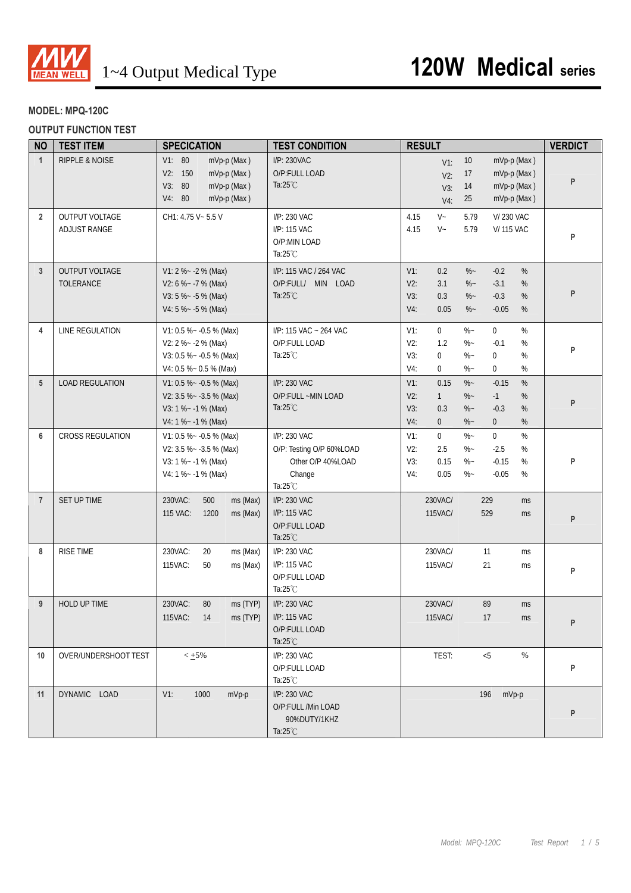

## **MODEL: MPQ-120C**

**OUTPUT FUNCTION TEST** 

| <b>NO</b>      | <b>TEST ITEM</b>               | <b>SPECICATION</b>                                                                                      | <b>TEST CONDITION</b>                                                                         | <b>RESULT</b>                                                                                                                                                                                        | <b>VERDICT</b> |
|----------------|--------------------------------|---------------------------------------------------------------------------------------------------------|-----------------------------------------------------------------------------------------------|------------------------------------------------------------------------------------------------------------------------------------------------------------------------------------------------------|----------------|
| $\mathbf{1}$   | <b>RIPPLE &amp; NOISE</b>      | V1: 80<br>mVp-p (Max)<br>V2: 150<br>mVp-p (Max)<br>V3: 80<br>mVp-p (Max)<br>V4: 80<br>mVp-p (Max)       | I/P: 230VAC<br>O/P:FULL LOAD<br>Ta: $25^{\circ}$ C                                            | mVp-p (Max)<br>10<br>$V1$ :<br>17<br>mVp-p (Max)<br>$V2$ :<br>mVp-p (Max)<br>14<br>V3:<br>mVp-p (Max)<br>25<br>$V4$ :                                                                                | P              |
| $\overline{2}$ | OUTPUT VOLTAGE<br>ADJUST RANGE | CH1: 4.75 V ~ 5.5 V                                                                                     | I/P: 230 VAC<br>I/P: 115 VAC<br>O/P:MIN LOAD<br>Ta: $25^{\circ}$ C                            | $V -$<br>4.15<br>5.79<br><b>V/230 VAC</b><br>$V -$<br>4.15<br>5.79<br><b>V/115 VAC</b>                                                                                                               | P              |
| $\mathbf{3}$   | OUTPUT VOLTAGE<br>TOLERANCE    | $V1: 2 % -2 % (Max)$<br>V2: 6 % ~ - 7 % (Max)<br>V3: 5 % $\sim$ -5 % (Max)<br>V4: 5 %~ -5 % (Max)       | I/P: 115 VAC / 264 VAC<br>O/P:FULL/ MIN LOAD<br>Ta: $25^{\circ}$ C                            | 0.2<br>$-0.2$<br>$\%$<br>$V1$ :<br>$\%$ ~<br>$V2$ :<br>3.1<br>$\%$ ~<br>$-3.1$<br>%<br>$\%$ ~<br>$-0.3$<br>$\%$<br>V3:<br>0.3<br>$V4$ :<br>0.05<br>$\%$ ~<br>$-0.05$<br>$\%$                         | P              |
| 4              | LINE REGULATION                | V1: 0.5 % - - 0.5 % (Max)<br>V2: $2\% - 2\%$ (Max)<br>V3: 0.5 %~ -0.5 % (Max)<br>V4: 0.5 %~ 0.5 % (Max) | I/P: 115 VAC ~ 264 VAC<br>O/P:FULL LOAD<br>Ta: $25^{\circ}$ C                                 | %<br>$V1$ :<br>$\mathbf{0}$<br>$\%$ ~<br>$\overline{0}$<br>V2:<br>1.2<br>$\%$ ~<br>$-0.1$<br>%<br>V3:<br>$\boldsymbol{0}$<br>$\%$ ~<br>$\mathbf 0$<br>%<br>$V4$ :<br>%<br>0<br>$\%$ ~<br>$\mathbf 0$ | P              |
| 5              | <b>LOAD REGULATION</b>         | V1: 0.5 %~ -0.5 % (Max)<br>V2: $3.5\% - 3.5\%$ (Max)<br>$V3: 1 % -1 % (Max)$<br>V4: 1 % ~ - 1 % (Max)   | I/P: 230 VAC<br>O/P:FULL ~MIN LOAD<br>Ta: $25^{\circ}$ C                                      | $\%$ ~<br>$\%$<br>$V1$ :<br>0.15<br>$-0.15$<br>V2:<br>$\%$ ~<br>$-1$<br>%<br>$\mathbf{1}$<br>V3:<br>0.3<br>$\%$ ~<br>$-0.3$<br>%<br>$V4$ :<br>$\mathbf 0$<br>$\%$ ~<br>$\mathbf 0$<br>%              | P              |
| 6              | <b>CROSS REGULATION</b>        | V1: 0.5 %~ -0.5 % (Max)<br>V2: $3.5\% - 3.5\%$ (Max)<br>V3: 1 % ~ - 1 % (Max)<br>V4: 1 % ~ - 1 % (Max)  | I/P: 230 VAC<br>O/P: Testing O/P 60%LOAD<br>Other O/P 40%LOAD<br>Change<br>Ta: $25^{\circ}$ C | $\% -$<br>$\overline{0}$<br>$\%$<br>$V1$ :<br>$\mathbf 0$<br>$\%$ –<br>V2:<br>2.5<br>$-2.5$<br>%<br>$\%$ –<br>V3:<br>0.15<br>$-0.15$<br>%<br>0.05<br>$\%$ ~<br>$-0.05$<br>%<br>V4:                   | P              |
| $\overline{7}$ | SET UP TIME                    | 230VAC:<br>500<br>ms (Max)<br>115 VAC:<br>1200<br>ms (Max)                                              | I/P: 230 VAC<br>I/P: 115 VAC<br>O/P:FULL LOAD<br>Ta: $25^{\circ}$ C                           | 230VAC/<br>229<br>ms<br>115VAC/<br>529<br>ms                                                                                                                                                         | P              |
| 8              | <b>RISE TIME</b>               | 20<br>230VAC:<br>ms (Max)<br>115VAC:<br>50<br>ms (Max)                                                  | I/P: 230 VAC<br>I/P: 115 VAC<br>O/P:FULL LOAD<br>Ta:25°C                                      | 230VAC/<br>11<br>ms<br>115VAC/<br>21<br>ms                                                                                                                                                           | P              |
| 9              | HOLD UP TIME                   | 230VAC:<br>80<br>ms (TYP)<br>115VAC: 14<br>ms (TYP)                                                     | I/P: 230 VAC<br>I/P: 115 VAC<br>O/P:FULL LOAD<br>Ta: $25^{\circ}$ C                           | 89<br>230VAC/<br>ms<br>115VAC/<br>17<br>ms                                                                                                                                                           | P              |
| 10             | OVER/UNDERSHOOT TEST           | $< +5\%$                                                                                                | I/P: 230 VAC<br>O/P:FULL LOAD<br>Ta: $25^{\circ}$ C                                           | TEST:<br>< 5<br>$\%$                                                                                                                                                                                 | P              |
| 11             | DYNAMIC LOAD                   | $V1$ :<br>1000<br>mVp-p                                                                                 | I/P: 230 VAC<br>O/P:FULL /Min LOAD<br>90%DUTY/1KHZ<br>Ta: $25^{\circ}$ C                      | 196<br>mVp-p                                                                                                                                                                                         | P              |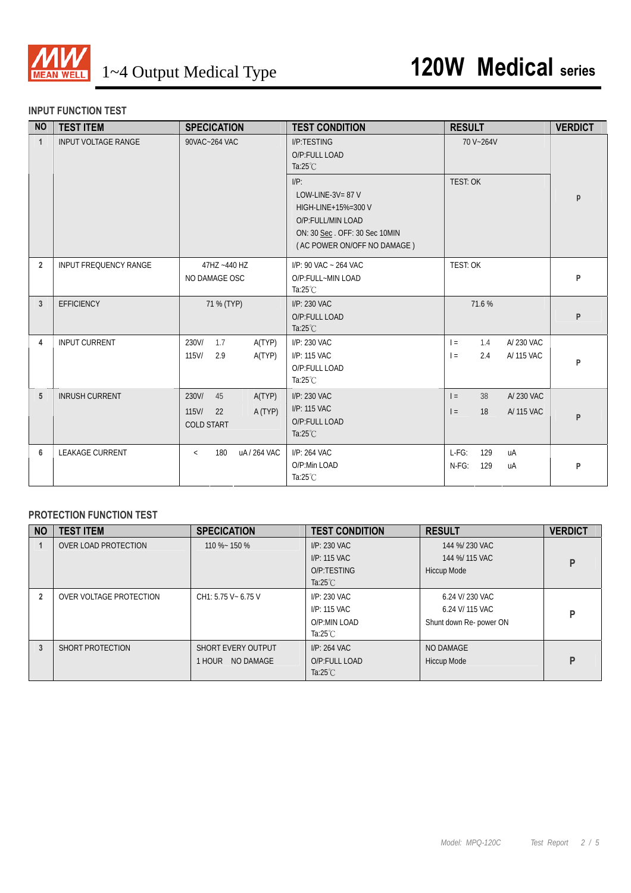

#### **INPUT FUNCTION TEST**

| <b>NO</b>      | <b>TEST ITEM</b>             | <b>SPECICATION</b>                                                      | <b>TEST CONDITION</b>                                                                                                                      | <b>RESULT</b>                                       | <b>VERDICT</b> |
|----------------|------------------------------|-------------------------------------------------------------------------|--------------------------------------------------------------------------------------------------------------------------------------------|-----------------------------------------------------|----------------|
| $\mathbf{1}$   | <b>INPUT VOLTAGE RANGE</b>   | 90VAC~264 VAC                                                           | I/P:TESTING<br>O/P:FULL LOAD<br>Ta: $25^{\circ}$ C                                                                                         | 70 V~264V                                           |                |
|                |                              |                                                                         | $I/P$ :<br>LOW-LINE-3V= $87$ V<br>HIGH-LINE+15%=300 V<br>O/P:FULL/MIN LOAD<br>ON: 30 Sec. OFF: 30 Sec 10MIN<br>(AC POWER ON/OFF NO DAMAGE) | TEST: OK                                            | р              |
| $\overline{2}$ | <b>INPUT FREQUENCY RANGE</b> | 47HZ ~440 HZ<br>NO DAMAGE OSC                                           | I/P: 90 VAC ~ 264 VAC<br>O/P:FULL~MIN LOAD<br>Ta: $25^{\circ}$ C                                                                           | <b>TEST: OK</b>                                     | P              |
| 3              | <b>EFFICIENCY</b>            | 71 % (TYP)                                                              | I/P: 230 VAC<br>O/P:FULL LOAD<br>Ta: $25^{\circ}$ C                                                                                        | 71.6 %                                              | P              |
| 4              | <b>INPUT CURRENT</b>         | 230V/<br>1.7<br>A(TYP)<br>115V/<br>2.9<br>A(TYP)                        | I/P: 230 VAC<br>I/P: 115 VAC<br>O/P:FULL LOAD<br>Ta: $25^{\circ}$ C                                                                        | A/230 VAC<br>1.4<br>$=$<br>A/ 115 VAC<br>$=$<br>2.4 | P              |
| 5              | <b>INRUSH CURRENT</b>        | 230V/<br>45<br>A(TYP)<br>$115$ V/<br>A (TYP)<br>22<br><b>COLD START</b> | I/P: 230 VAC<br>I/P: 115 VAC<br>O/P:FULL LOAD<br>Ta: $25^{\circ}$ C                                                                        | A/230 VAC<br>38<br>$=$<br>A/ 115 VAC<br>18<br>$=$   | P              |
| 6              | <b>LEAKAGE CURRENT</b>       | uA/264 VAC<br>180<br>$\langle$                                          | I/P: 264 VAC<br>O/P:Min LOAD<br>Ta: $25^{\circ}$ C                                                                                         | $L-FG$ :<br>129<br>uA<br>$N-FG$ :<br>129<br>uA      | P              |

### **PROTECTION FUNCTION TEST**

| <b>NO</b> | <b>TEST ITEM</b>        | <b>SPECICATION</b>   | <b>TEST CONDITION</b> | <b>RESULT</b>           | <b>VERDICT</b> |
|-----------|-------------------------|----------------------|-----------------------|-------------------------|----------------|
|           | OVER LOAD PROTECTION    | 110 %~ 150 %         | I/P: 230 VAC          | 144 %/ 230 VAC          |                |
|           |                         |                      | I/P: 115 VAC          | 144 %/ 115 VAC          | P              |
|           |                         |                      | O/P:TESTING           | Hiccup Mode             |                |
|           |                         |                      | Ta: $25^{\circ}$ C    |                         |                |
|           | OVER VOLTAGE PROTECTION | CH1: 5.75 V ~ 6.75 V | I/P: 230 VAC          | 6.24 V/ 230 VAC         |                |
|           |                         |                      | I/P: 115 VAC          | 6.24 V/ 115 VAC         | D              |
|           |                         |                      | O/P:MIN LOAD          | Shunt down Re- power ON |                |
|           |                         |                      | Ta: $25^{\circ}$ C    |                         |                |
| 3         | SHORT PROTECTION        | SHORT EVERY OUTPUT   | I/P: 264 VAC          | NO DAMAGE               |                |
|           |                         | NO DAMAGE<br>1 HOUR  | O/P:FULL LOAD         | Hiccup Mode             | P              |
|           |                         |                      | Ta: $25^{\circ}$ C    |                         |                |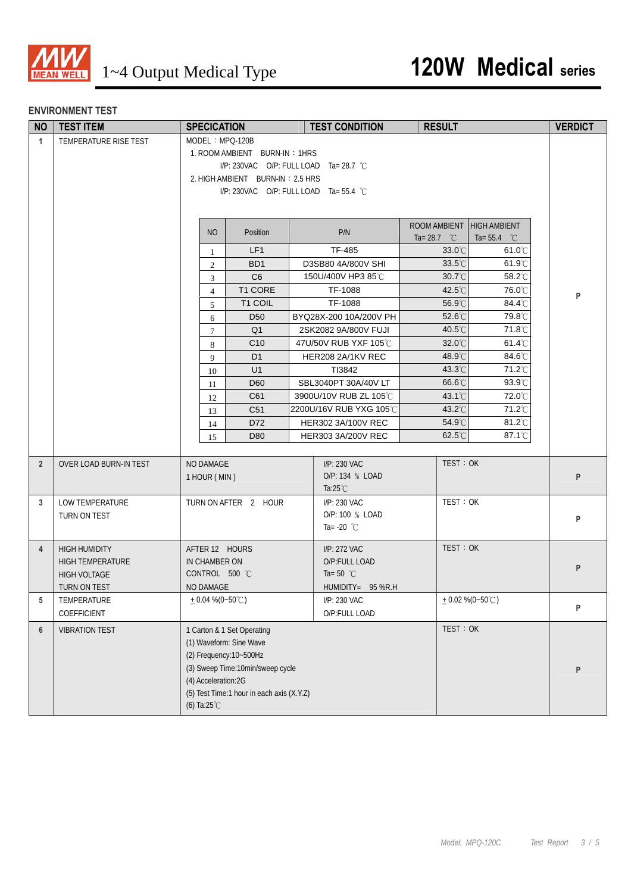

#### **ENVIRONMENT TEST**

| <b>NO</b>      | <b>TEST ITEM</b>        | <b>SPECICATION</b>     |                                           | <b>TEST CONDITION</b>                     |                       | <b>RESULT</b>                        | <b>VERDICT</b> |  |
|----------------|-------------------------|------------------------|-------------------------------------------|-------------------------------------------|-----------------------|--------------------------------------|----------------|--|
| $\mathbf{1}$   | TEMPERATURE RISE TEST   | MODEL: MPQ-120B        |                                           |                                           |                       |                                      |                |  |
|                |                         |                        | 1. ROOM AMBIENT BURN-IN: 1HRS             |                                           |                       |                                      |                |  |
|                |                         |                        |                                           | I/P: 230VAC O/P: FULL LOAD Ta= 28.7 °C    |                       |                                      |                |  |
|                |                         |                        | 2. HIGH AMBIENT BURN-IN: 2.5 HRS          |                                           |                       |                                      |                |  |
|                |                         |                        |                                           | $I/P$ : 230VAC O/P: FULL LOAD Ta= 55.4 °C |                       |                                      |                |  |
|                |                         |                        |                                           |                                           |                       |                                      |                |  |
|                |                         |                        |                                           |                                           |                       | ROOM AMBIENT HIGH AMBIENT            |                |  |
|                |                         | <b>NO</b>              | Position                                  | P/N                                       | Ta= 28.7 $^{\circ}$ C | Ta= $55.4$ °C                        |                |  |
|                |                         | 1                      | LF1                                       | TF-485                                    |                       | 33.0°C<br>$61.0^{\circ}$ C           |                |  |
|                |                         | 2                      | B <sub>D</sub> 1                          | D3SB80 4A/800V SHI                        |                       | $33.5^{\circ}$ C<br>$61.9^{\circ}$ C |                |  |
|                |                         | 3                      | C6                                        | 150U/400V HP3 85℃                         |                       | $30.7^{\circ}$ C<br>58.2°C           |                |  |
|                |                         | $\overline{4}$         | T1 CORE                                   | TF-1088                                   |                       | 42.5°C<br>76.0°C                     | P              |  |
|                |                         | 5                      | T1 COIL                                   | TF-1088                                   |                       | 56.9°C<br>84.4°C                     |                |  |
|                |                         | 6                      | D <sub>50</sub>                           | BYQ28X-200 10A/200V PH                    |                       | 52.6°C<br>79.8°C                     |                |  |
|                |                         | $\tau$                 | Q <sub>1</sub>                            | 2SK2082 9A/800V FUJI                      |                       | 71.8°C<br>40.5°C                     |                |  |
|                |                         | 8                      | C <sub>10</sub>                           | 47U/50V RUB YXF 105°C                     |                       | $32.0^{\circ}$ C<br>$61.4^{\circ}$ C |                |  |
|                |                         | 9                      | D <sub>1</sub>                            | HER208 2A/1KV REC                         |                       | 48.9°C<br>84.6°C                     |                |  |
|                |                         | 10                     | U1                                        | TI3842                                    |                       | 71.2°C<br>43.3°C                     |                |  |
|                |                         | 11                     | D60                                       | SBL3040PT 30A/40V LT                      |                       | $66.6^{\circ}$ C<br>$93.9^{\circ}$   |                |  |
|                |                         | 12                     | C61                                       | 3900U/10V RUB ZL 105°C                    |                       | $43.1^{\circ}$ C<br>72.0°C           |                |  |
|                |                         | 13                     | C <sub>51</sub>                           | 2200U/16V RUB YXG 105℃                    |                       | 43.2°C<br>71.2°C                     |                |  |
|                |                         | 14                     | D72                                       | HER302 3A/100V REC                        |                       | 54.9°C<br>$81.2^{\circ}$ C           |                |  |
|                |                         | 15                     | D80                                       | HER303 3A/200V REC                        |                       | 87.1°C<br>62.5°C                     |                |  |
| $\overline{2}$ | OVER LOAD BURN-IN TEST  | NO DAMAGE              |                                           | I/P: 230 VAC                              |                       | TEST: OK                             |                |  |
|                |                         | 1 HOUR (MIN)           |                                           | O/P: 134 % LOAD                           |                       |                                      | P              |  |
|                |                         |                        |                                           | Ta: $25^{\circ}$ C                        |                       |                                      |                |  |
| 3              | LOW TEMPERATURE         |                        | TURN ON AFTER 2 HOUR                      | I/P: 230 VAC                              |                       | TEST: OK                             |                |  |
|                | TURN ON TEST            |                        |                                           | O/P: 100 % LOAD                           |                       |                                      | P              |  |
|                |                         |                        |                                           | Ta= $-20$ °C                              |                       |                                      |                |  |
| $\overline{4}$ | <b>HIGH HUMIDITY</b>    | AFTER 12 HOURS         |                                           | I/P: 272 VAC                              |                       | TEST: OK                             |                |  |
|                | <b>HIGH TEMPERATURE</b> | IN CHAMBER ON          |                                           | O/P:FULL LOAD                             |                       |                                      |                |  |
|                | <b>HIGH VOLTAGE</b>     | CONTROL 500 °C         |                                           | Ta=50 $^{\circ}$ C                        |                       |                                      | P              |  |
|                | TURN ON TEST            | NO DAMAGE              |                                           | $HUMIDITY = 95 %R.H$                      |                       |                                      |                |  |
| 5              | TEMPERATURE             | + 0.04 % (0~50°C)      |                                           | I/P: 230 VAC                              |                       | $+0.02\%$ (0~50°C)                   |                |  |
|                | COEFFICIENT             |                        |                                           | O/P:FULL LOAD                             |                       |                                      | P              |  |
| $6\phantom{1}$ | <b>VIBRATION TEST</b>   |                        | 1 Carton & 1 Set Operating                |                                           |                       | TEST: OK                             |                |  |
|                |                         |                        | (1) Waveform: Sine Wave                   |                                           |                       |                                      |                |  |
|                |                         |                        | (2) Frequency: 10~500Hz                   |                                           |                       |                                      |                |  |
|                |                         |                        | (3) Sweep Time: 10min/sweep cycle         |                                           |                       |                                      | P              |  |
|                |                         | (4) Acceleration:2G    |                                           |                                           |                       |                                      |                |  |
|                |                         |                        | (5) Test Time:1 hour in each axis (X.Y.Z) |                                           |                       |                                      |                |  |
|                |                         | (6) Ta: $25^{\circ}$ C |                                           |                                           |                       |                                      |                |  |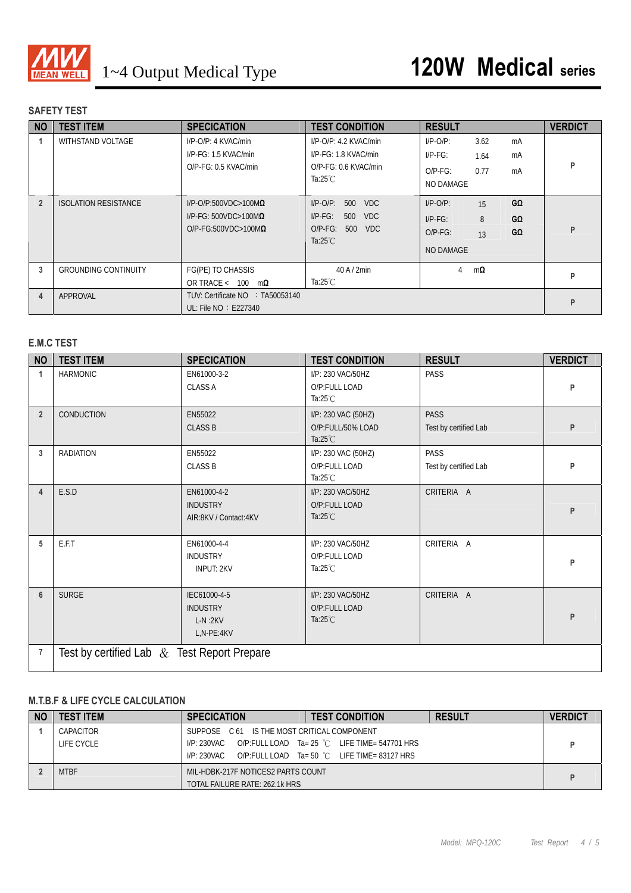

# **SAFETY TEST**

| <b>NO</b>      | <b>TEST ITEM</b>            | <b>SPECICATION</b>                                                                               | <b>TEST CONDITION</b>                                                                                  | <b>RESULT</b>                                                                                                | <b>VERDICT</b> |
|----------------|-----------------------------|--------------------------------------------------------------------------------------------------|--------------------------------------------------------------------------------------------------------|--------------------------------------------------------------------------------------------------------------|----------------|
|                | WITHSTAND VOLTAGE           | I/P-O/P: 4 KVAC/min<br>$I/P-FG: 1.5 KVAC/min$<br>O/P-FG: 0.5 KVAC/min                            | $I/P$ -O/P: 4.2 KVAC/min<br>$I/P-FG: 1.8 KVAC/min$<br>O/P-FG: 0.6 KVAC/min<br>Ta:25 $°C$               | $I/P-O/P$ :<br>3.62<br>mA<br>$I/P-FG$ :<br>mA<br>1.64<br>0.77<br>$O/P-FG$ :<br>mA<br>NO DAMAGE               | P              |
| $\overline{2}$ | <b>ISOLATION RESISTANCE</b> | $I/P$ -O/P:500VDC>100M $\Omega$<br>$I/P$ -FG: 500VDC>100M $\Omega$<br>$O/P-FG:500VDC>100M\Omega$ | VDC.<br>$I/P$ -O/P:<br>500<br>$I/P-FG$ :<br><b>VDC</b><br>500<br>O/P-FG: 500 VDC<br>Ta: $25^{\circ}$ C | $G\Omega$<br>$I/P-O/P$ :<br>15<br>8<br>$I/P-FG$ :<br>GΩ<br>$G\Omega$<br>$O/P-FG$ :<br>13<br><b>NO DAMAGE</b> | P              |
| 3              | <b>GROUNDING CONTINUITY</b> | FG(PE) TO CHASSIS<br>OR TRACE < $100 \text{ m}\Omega$                                            | $40$ A $/$ 2min<br>Ta:25 $°C$                                                                          | $m\Omega$<br>4                                                                                               | P              |
| 4              | APPROVAL                    | TUV: Certificate NO : TA50053140<br>UL: File NO : E227340                                        |                                                                                                        |                                                                                                              | P              |

### **E.M.C TEST**

| <b>NO</b>      | <b>TEST ITEM</b>                               | <b>SPECICATION</b>                                         | <b>TEST CONDITION</b>                                          | <b>RESULT</b>                        | <b>VERDICT</b> |
|----------------|------------------------------------------------|------------------------------------------------------------|----------------------------------------------------------------|--------------------------------------|----------------|
| $\mathbf{1}$   | <b>HARMONIC</b>                                | EN61000-3-2<br><b>CLASS A</b>                              | I/P: 230 VAC/50HZ<br>O/P:FULL LOAD<br>Ta: $25^{\circ}$ C       | PASS                                 | P              |
| $\overline{2}$ | <b>CONDUCTION</b>                              | EN55022<br><b>CLASS B</b>                                  | I/P: 230 VAC (50HZ)<br>O/P:FULL/50% LOAD<br>Ta: $25^{\circ}$ C | <b>PASS</b><br>Test by certified Lab | P              |
| 3              | <b>RADIATION</b>                               | EN55022<br><b>CLASS B</b>                                  | I/P: 230 VAC (50HZ)<br>O/P:FULL LOAD<br>Ta: $25^{\circ}$ C     | PASS<br>Test by certified Lab        | P              |
| 4              | E.S.D                                          | EN61000-4-2<br><b>INDUSTRY</b><br>AIR:8KV / Contact:4KV    | I/P: 230 VAC/50HZ<br>O/P:FULL LOAD<br>Ta: $25^{\circ}$ C       | CRITERIA A                           | P              |
| 5              | E.F.T                                          | EN61000-4-4<br><b>INDUSTRY</b><br><b>INPUT: 2KV</b>        | I/P: 230 VAC/50HZ<br>O/P:FULL LOAD<br>Ta: $25^{\circ}$ C       | CRITERIA A                           | P              |
| $6\phantom{1}$ | <b>SURGE</b>                                   | IEC61000-4-5<br><b>INDUSTRY</b><br>$L-N:2KV$<br>L,N-PE:4KV | I/P: 230 VAC/50HZ<br>O/P:FULL LOAD<br>Ta: $25^{\circ}$ C       | CRITERIA A                           | P              |
| 7              | Test by certified Lab $\&$ Test Report Prepare |                                                            |                                                                |                                      |                |

#### **M.T.B.F & LIFE CYCLE CALCULATION**

| <b>NO</b> | <b>TEST ITEM</b> | <b>SPECICATION</b>                          | <b>TEST CONDITION</b>                         | <b>RESULT</b> | <b>VERDICT</b> |
|-----------|------------------|---------------------------------------------|-----------------------------------------------|---------------|----------------|
|           | CAPACITOR        | SUPPOSE C 61 IS THE MOST CRITICAL COMPONENT |                                               |               |                |
|           | LIFE CYCLE       | I/P: 230VAC                                 | O/P:FULL LOAD Ta= 25 °C LIFE TIME= 547701 HRS |               |                |
|           |                  | I/P: 230VAC                                 | O/P:FULL LOAD Ta= 50 °C LIFE TIME= 83127 HRS  |               |                |
|           | <b>MTBF</b>      | MIL-HDBK-217F NOTICES2 PARTS COUNT          |                                               |               |                |
|           |                  | TOTAL FAILURE RATE: 262.1k HRS              |                                               |               |                |